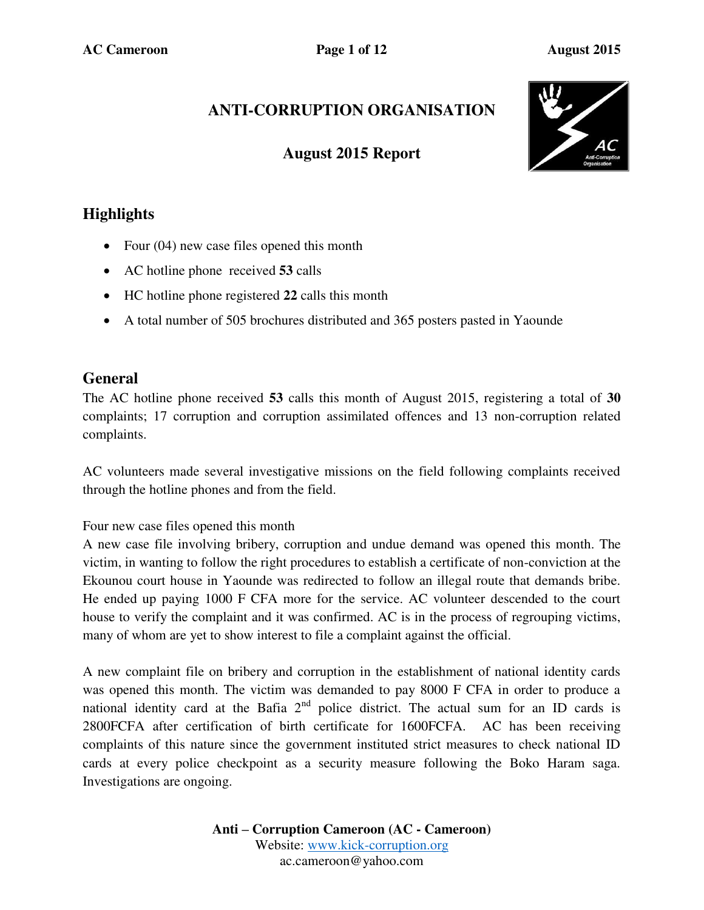# **ANTI-CORRUPTION ORGANISATION**

## **August 2015 Report**



# **Highlights**

- Four (04) new case files opened this month
- AC hotline phone received **53** calls
- HC hotline phone registered **22** calls this month
- A total number of 505 brochures distributed and 365 posters pasted in Yaounde

## **General**

The AC hotline phone received **53** calls this month of August 2015, registering a total of **30** complaints; 17 corruption and corruption assimilated offences and 13 non-corruption related complaints.

AC volunteers made several investigative missions on the field following complaints received through the hotline phones and from the field.

Four new case files opened this month

A new case file involving bribery, corruption and undue demand was opened this month. The victim, in wanting to follow the right procedures to establish a certificate of non-conviction at the Ekounou court house in Yaounde was redirected to follow an illegal route that demands bribe. He ended up paying 1000 F CFA more for the service. AC volunteer descended to the court house to verify the complaint and it was confirmed. AC is in the process of regrouping victims, many of whom are yet to show interest to file a complaint against the official.

A new complaint file on bribery and corruption in the establishment of national identity cards was opened this month. The victim was demanded to pay 8000 F CFA in order to produce a national identity card at the Bafia  $2<sup>nd</sup>$  police district. The actual sum for an ID cards is 2800FCFA after certification of birth certificate for 1600FCFA. AC has been receiving complaints of this nature since the government instituted strict measures to check national ID cards at every police checkpoint as a security measure following the Boko Haram saga. Investigations are ongoing.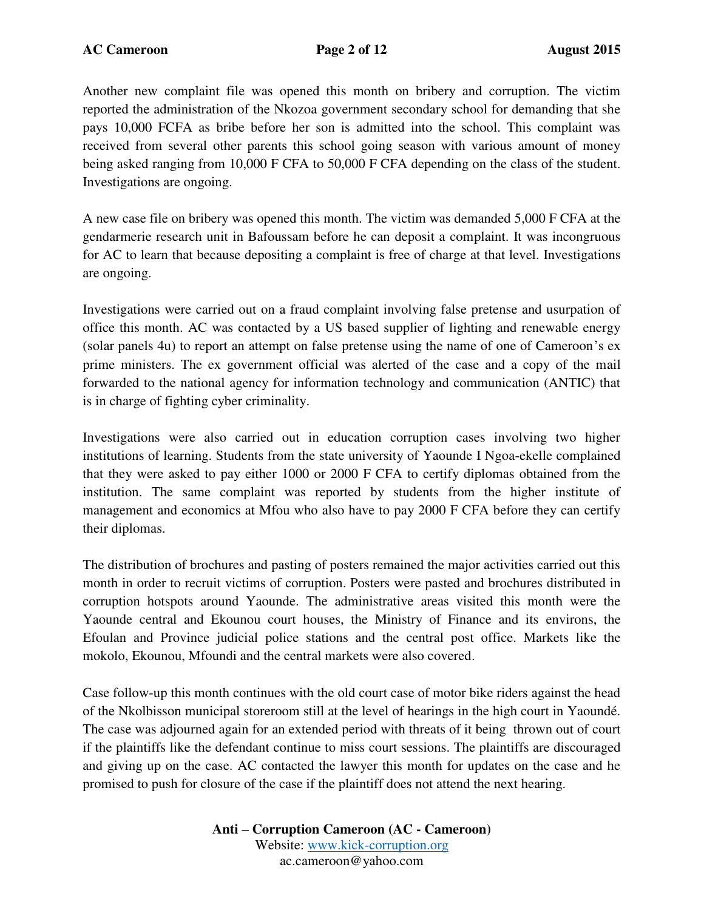Another new complaint file was opened this month on bribery and corruption. The victim reported the administration of the Nkozoa government secondary school for demanding that she pays 10,000 FCFA as bribe before her son is admitted into the school. This complaint was received from several other parents this school going season with various amount of money being asked ranging from 10,000 F CFA to 50,000 F CFA depending on the class of the student. Investigations are ongoing.

A new case file on bribery was opened this month. The victim was demanded 5,000 F CFA at the gendarmerie research unit in Bafoussam before he can deposit a complaint. It was incongruous for AC to learn that because depositing a complaint is free of charge at that level. Investigations are ongoing.

Investigations were carried out on a fraud complaint involving false pretense and usurpation of office this month. AC was contacted by a US based supplier of lighting and renewable energy (solar panels 4u) to report an attempt on false pretense using the name of one of Cameroon's ex prime ministers. The ex government official was alerted of the case and a copy of the mail forwarded to the national agency for information technology and communication (ANTIC) that is in charge of fighting cyber criminality.

Investigations were also carried out in education corruption cases involving two higher institutions of learning. Students from the state university of Yaounde I Ngoa-ekelle complained that they were asked to pay either 1000 or 2000 F CFA to certify diplomas obtained from the institution. The same complaint was reported by students from the higher institute of management and economics at Mfou who also have to pay 2000 F CFA before they can certify their diplomas.

The distribution of brochures and pasting of posters remained the major activities carried out this month in order to recruit victims of corruption. Posters were pasted and brochures distributed in corruption hotspots around Yaounde. The administrative areas visited this month were the Yaounde central and Ekounou court houses, the Ministry of Finance and its environs, the Efoulan and Province judicial police stations and the central post office. Markets like the mokolo, Ekounou, Mfoundi and the central markets were also covered.

Case follow-up this month continues with the old court case of motor bike riders against the head of the Nkolbisson municipal storeroom still at the level of hearings in the high court in Yaoundé. The case was adjourned again for an extended period with threats of it being thrown out of court if the plaintiffs like the defendant continue to miss court sessions. The plaintiffs are discouraged and giving up on the case. AC contacted the lawyer this month for updates on the case and he promised to push for closure of the case if the plaintiff does not attend the next hearing.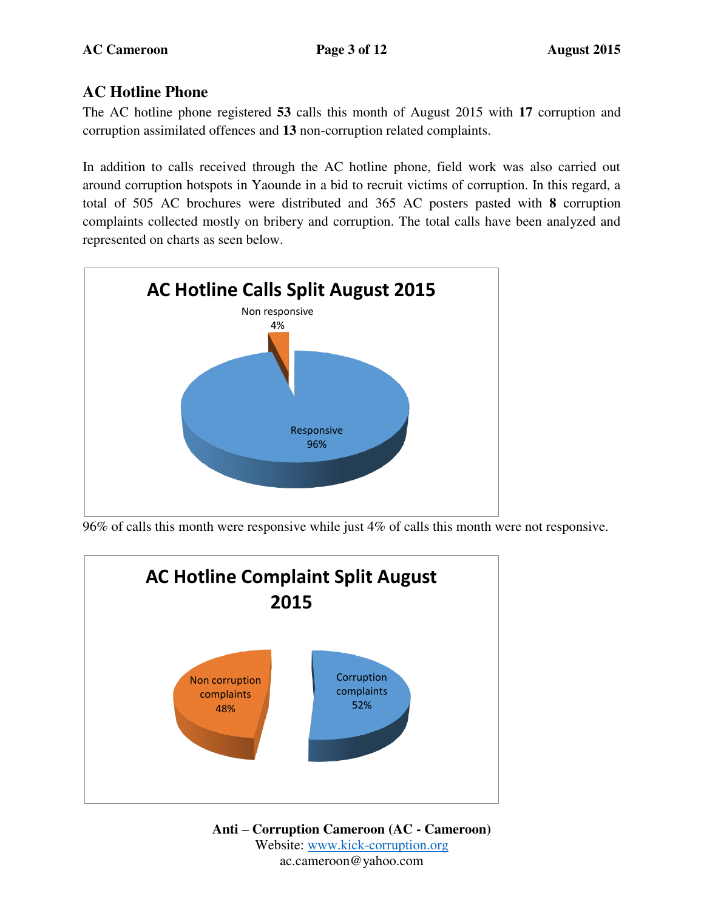## **AC Hotline Phone**

The AC hotline phone registered **53** calls this month of August 2015 with **17** corruption and corruption assimilated offences and **13** non-corruption related complaints.

In addition to calls received through the AC hotline phone, field work was also carried out around corruption hotspots in Yaounde in a bid to recruit victims of corruption. In this regard, a total of 505 AC brochures were distributed and 365 AC posters pasted with **8** corruption complaints collected mostly on bribery and corruption. The total calls have been analyzed and represented on charts as seen below.



96% of calls this month were responsive while just 4% of calls this month were not responsive.

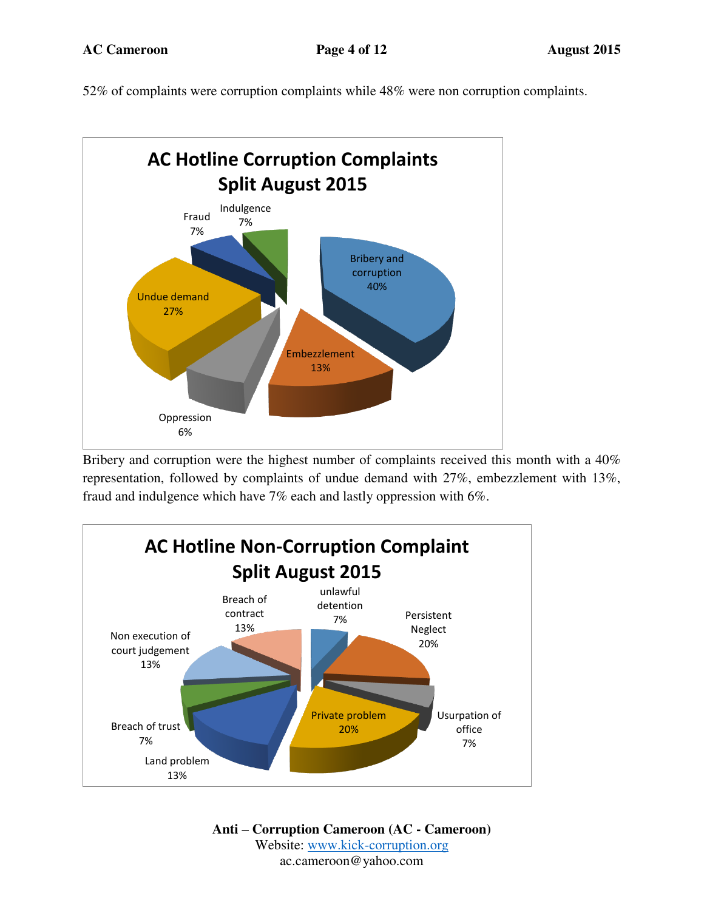52% of complaints were corruption complaints while 48% were non corruption complaints.



Bribery and corruption were the highest number of complaints received this month with a 40% representation, followed by complaints of undue demand with 27%, embezzlement with 13%, fraud and indulgence which have 7% each and lastly oppression with 6%.

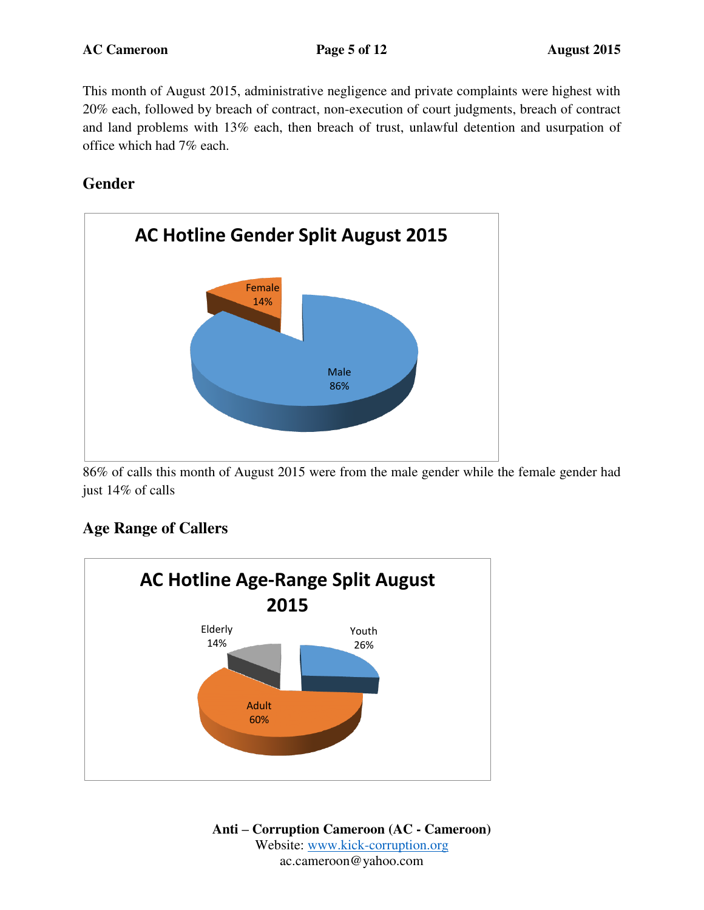This month of August 2015, administrative negligence and private complaints were highest with 20% each, followed by breach of contract, non-execution of court judgments, breach of contract and land problems with 13% each, then breach of trust, unlawful detention and usurpation of office which had 7% each.

**Gender** 



86% of calls this month of August 2015 were from the male gender while the female gender had just 14% of calls

## **Age Range of Callers**

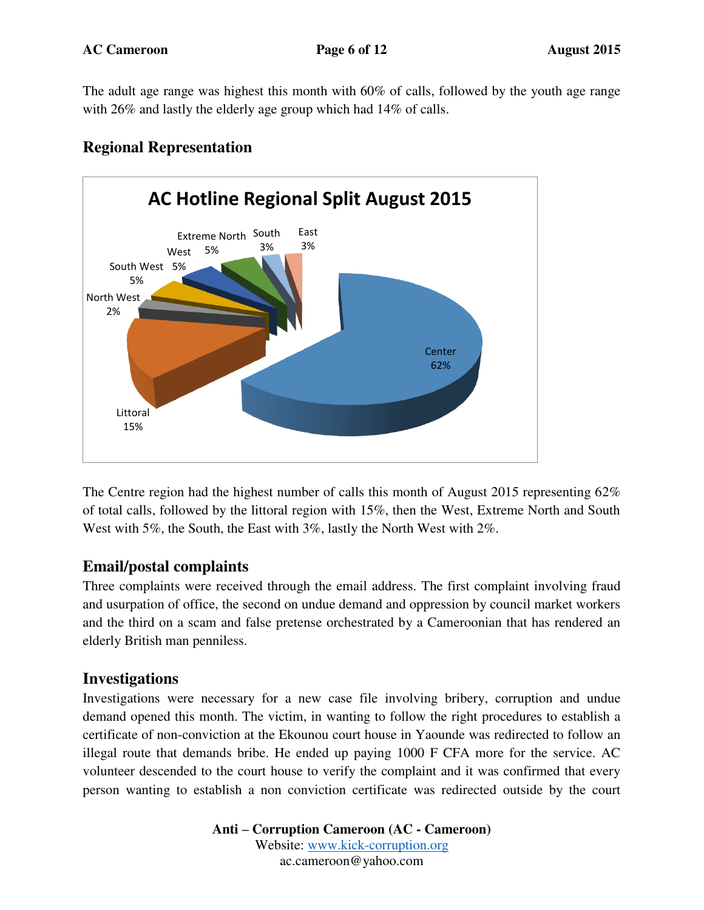The adult age range was highest this month with 60% of calls, followed by the youth age range with 26% and lastly the elderly age group which had 14% of calls.



## **Regional Representation**

The Centre region had the highest number of calls this month of August 2015 representing 62% of total calls, followed by the littoral region with 15%, then the West, Extreme North and South West with 5%, the South, the East with 3%, lastly the North West with 2%.

### **Email/postal complaints**

Three complaints were received through the email address. The first complaint involving fraud and usurpation of office, the second on undue demand and oppression by council market workers and the third on a scam and false pretense orchestrated by a Cameroonian that has rendered an elderly British man penniless.

### **Investigations**

Investigations were necessary for a new case file involving bribery, corruption and undue demand opened this month. The victim, in wanting to follow the right procedures to establish a certificate of non-conviction at the Ekounou court house in Yaounde was redirected to follow an illegal route that demands bribe. He ended up paying 1000 F CFA more for the service. AC volunteer descended to the court house to verify the complaint and it was confirmed that every person wanting to establish a non conviction certificate was redirected outside by the court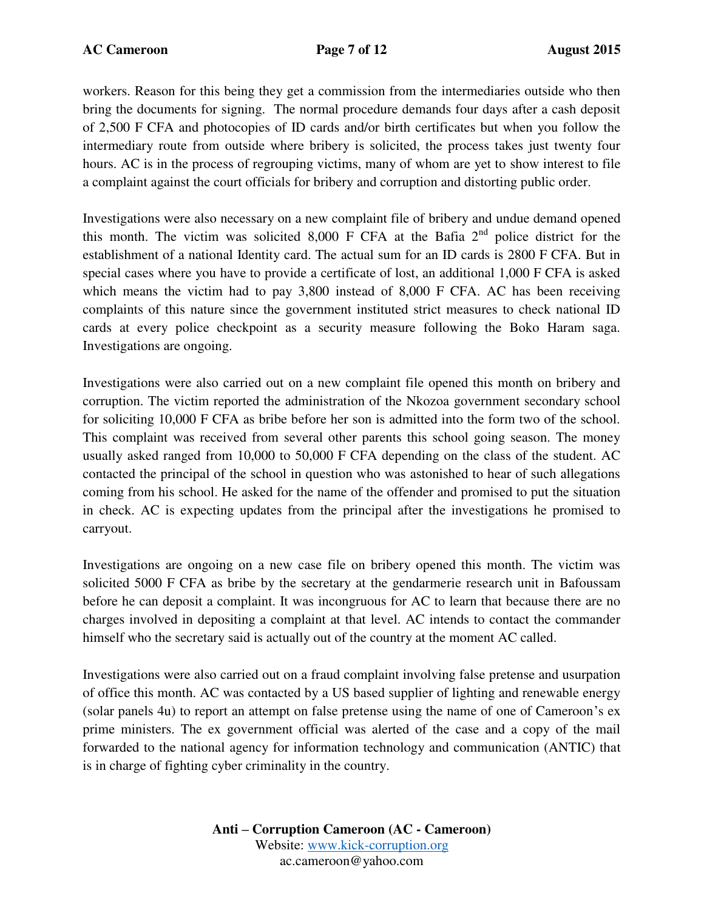workers. Reason for this being they get a commission from the intermediaries outside who then bring the documents for signing. The normal procedure demands four days after a cash deposit of 2,500 F CFA and photocopies of ID cards and/or birth certificates but when you follow the intermediary route from outside where bribery is solicited, the process takes just twenty four hours. AC is in the process of regrouping victims, many of whom are yet to show interest to file a complaint against the court officials for bribery and corruption and distorting public order.

Investigations were also necessary on a new complaint file of bribery and undue demand opened this month. The victim was solicited 8,000 F CFA at the Bafia  $2<sup>nd</sup>$  police district for the establishment of a national Identity card. The actual sum for an ID cards is 2800 F CFA. But in special cases where you have to provide a certificate of lost, an additional 1,000 F CFA is asked which means the victim had to pay 3,800 instead of 8,000 F CFA. AC has been receiving complaints of this nature since the government instituted strict measures to check national ID cards at every police checkpoint as a security measure following the Boko Haram saga. Investigations are ongoing.

Investigations were also carried out on a new complaint file opened this month on bribery and corruption. The victim reported the administration of the Nkozoa government secondary school for soliciting 10,000 F CFA as bribe before her son is admitted into the form two of the school. This complaint was received from several other parents this school going season. The money usually asked ranged from 10,000 to 50,000 F CFA depending on the class of the student. AC contacted the principal of the school in question who was astonished to hear of such allegations coming from his school. He asked for the name of the offender and promised to put the situation in check. AC is expecting updates from the principal after the investigations he promised to carryout.

Investigations are ongoing on a new case file on bribery opened this month. The victim was solicited 5000 F CFA as bribe by the secretary at the gendarmerie research unit in Bafoussam before he can deposit a complaint. It was incongruous for AC to learn that because there are no charges involved in depositing a complaint at that level. AC intends to contact the commander himself who the secretary said is actually out of the country at the moment AC called.

Investigations were also carried out on a fraud complaint involving false pretense and usurpation of office this month. AC was contacted by a US based supplier of lighting and renewable energy (solar panels 4u) to report an attempt on false pretense using the name of one of Cameroon's ex prime ministers. The ex government official was alerted of the case and a copy of the mail forwarded to the national agency for information technology and communication (ANTIC) that is in charge of fighting cyber criminality in the country.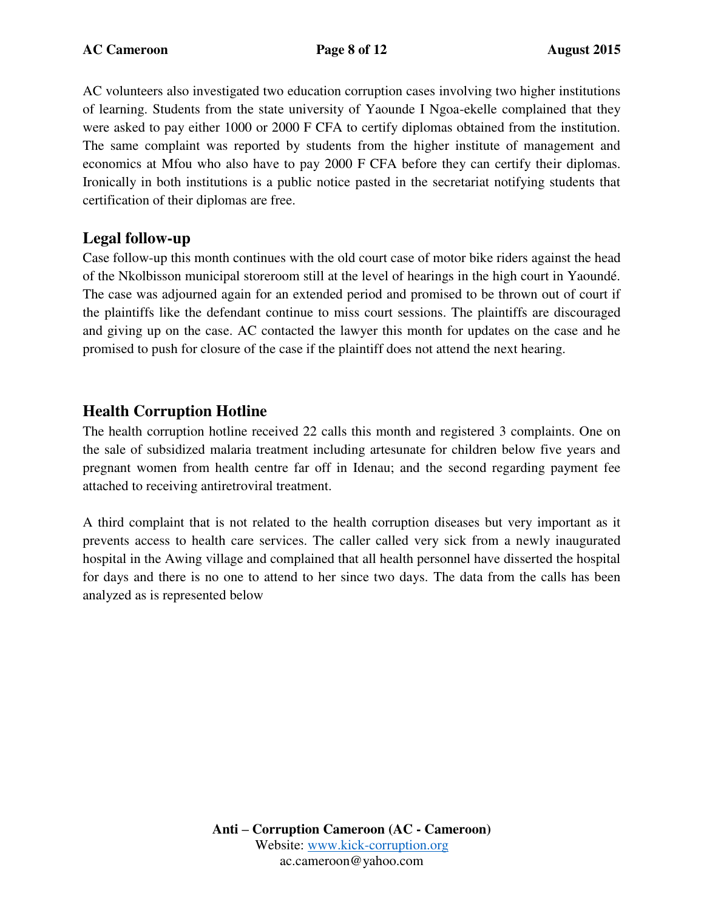AC volunteers also investigated two education corruption cases involving two higher institutions of learning. Students from the state university of Yaounde I Ngoa-ekelle complained that they were asked to pay either 1000 or 2000 F CFA to certify diplomas obtained from the institution. The same complaint was reported by students from the higher institute of management and economics at Mfou who also have to pay 2000 F CFA before they can certify their diplomas. Ironically in both institutions is a public notice pasted in the secretariat notifying students that certification of their diplomas are free.

## **Legal follow-up**

Case follow-up this month continues with the old court case of motor bike riders against the head of the Nkolbisson municipal storeroom still at the level of hearings in the high court in Yaoundé. The case was adjourned again for an extended period and promised to be thrown out of court if the plaintiffs like the defendant continue to miss court sessions. The plaintiffs are discouraged and giving up on the case. AC contacted the lawyer this month for updates on the case and he promised to push for closure of the case if the plaintiff does not attend the next hearing.

## **Health Corruption Hotline**

The health corruption hotline received 22 calls this month and registered 3 complaints. One on the sale of subsidized malaria treatment including artesunate for children below five years and pregnant women from health centre far off in Idenau; and the second regarding payment fee attached to receiving antiretroviral treatment.

A third complaint that is not related to the health corruption diseases but very important as it prevents access to health care services. The caller called very sick from a newly inaugurated hospital in the Awing village and complained that all health personnel have disserted the hospital for days and there is no one to attend to her since two days. The data from the calls has been analyzed as is represented below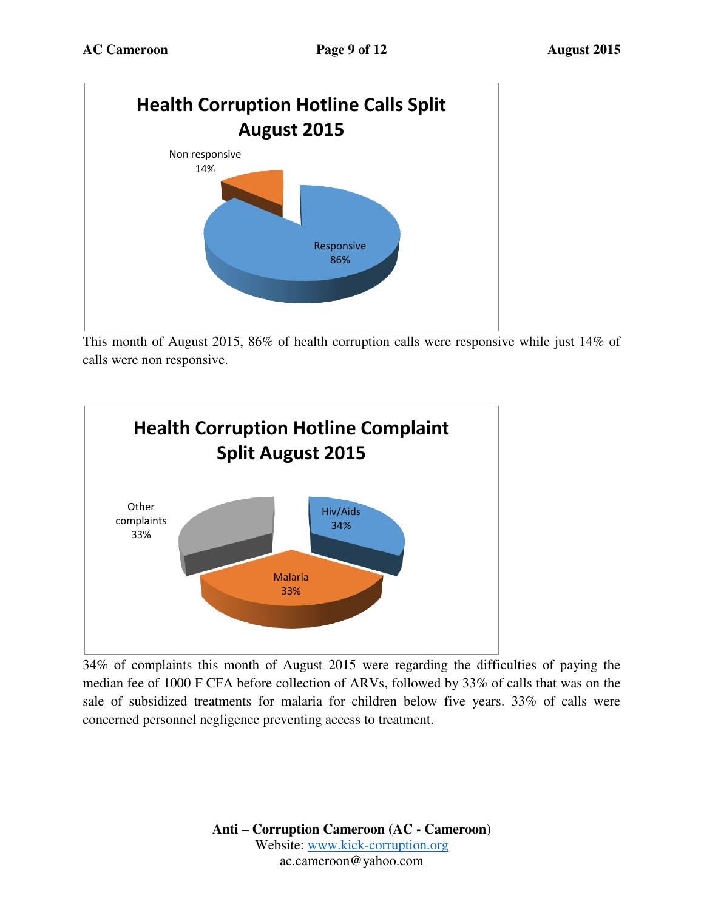

This month of August 2015, 86% of health corruption calls were responsive while just 14% of calls were non responsive.



34% of complaints this month of August 2015 were regarding the difficulties of paying the median fee of 1000 F CFA before collection of ARVs, followed by 33% of calls that was on the sale of subsidized treatments for malaria for children below five years. 33% of calls were concerned personnel negligence preventing access to treatment.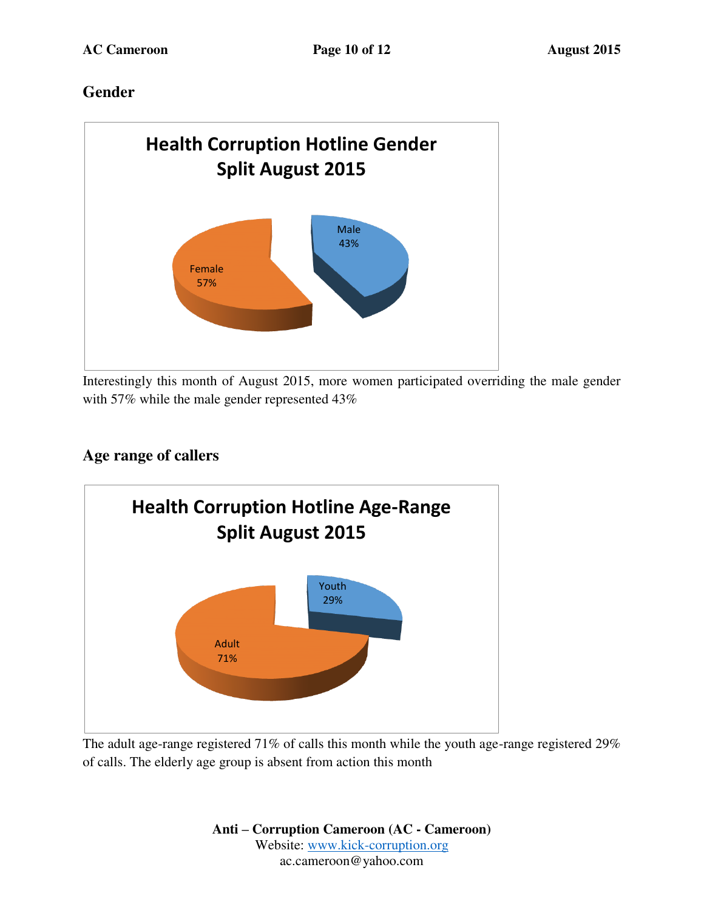# **Gender**



Interestingly this month of August 2015, more women participated overriding the male gender with 57% while the male gender represented 43%

# **Age range of callers**



The adult age-range registered 71% of calls this month while the youth age-range registered 29% of calls. The elderly age group is absent from action this month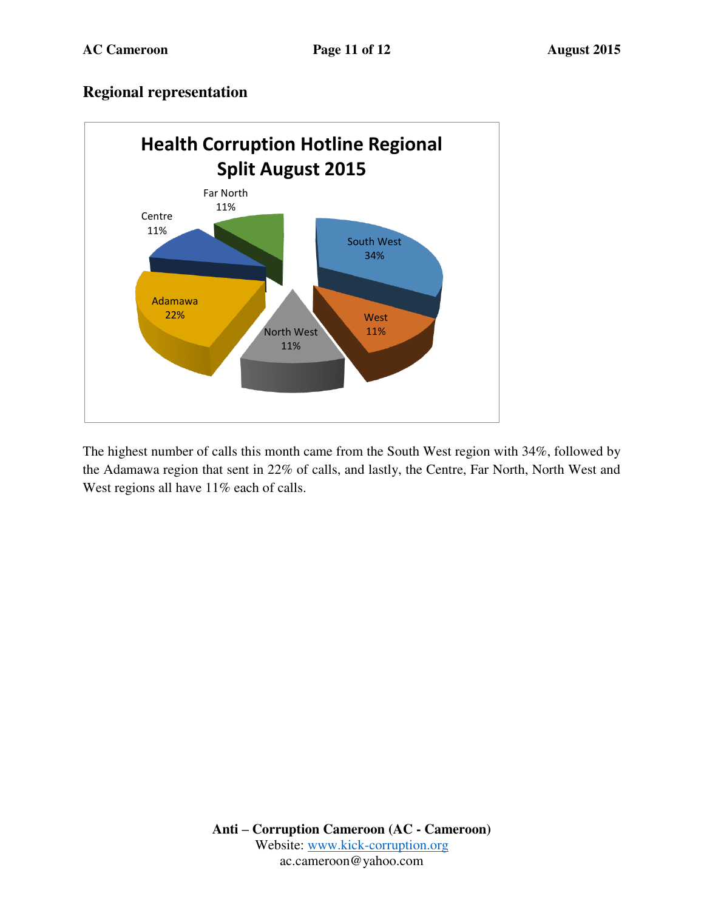### **Regional representation**



The highest number of calls this month came from the South West region with 34%, followed by the Adamawa region that sent in 22% of calls, and lastly, the Centre, Far North, North West and West regions all have 11% each of calls.